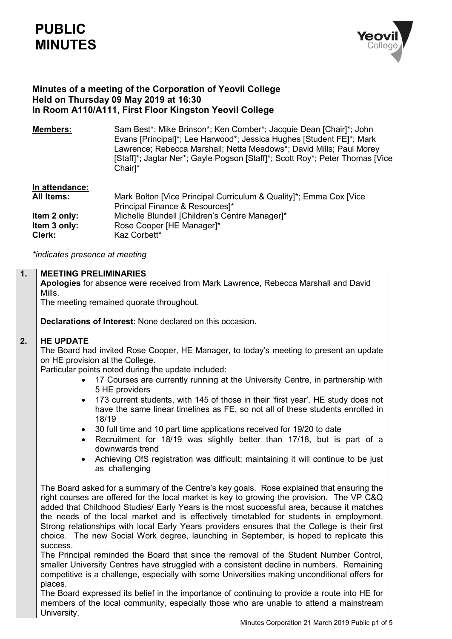# **PUBLIC MINUTES**



# **Minutes of a meeting of the Corporation of Yeovil College Held on Thursday 09 May 2019 at 16:30 In Room A110/A111, First Floor Kingston Yeovil College**

**Members:** Sam Best<sup>\*</sup>; Mike Brinson<sup>\*</sup>; Ken Comber<sup>\*</sup>; Jacquie Dean [Chair]<sup>\*</sup>; John Evans [Principal]\*; Lee Harwood\*; Jessica Hughes [Student FE]\*; Mark Lawrence; Rebecca Marshall; Netta Meadows\*; David Mills; Paul Morey [Staff]\*; Jagtar Ner\*; Gayle Pogson [Staff]\*; Scott Roy\*; Peter Thomas [Vice Chair]\*

# **In attendance:**

| <b>All Items:</b> | Mark Bolton [Vice Principal Curriculum & Quality]*; Emma Cox [Vice |
|-------------------|--------------------------------------------------------------------|
|                   | Principal Finance & Resources]*                                    |
| Item 2 only:      | Michelle Blundell [Children's Centre Manager]*                     |
| Item 3 only:      | Rose Cooper [HE Manager]*                                          |
| Clerk:            | Kaz Corbett*                                                       |

*\*indicates presence at meeting*

#### **1. MEETING PRELIMINARIES**

**Apologies** for absence were received from Mark Lawrence, Rebecca Marshall and David Mills.

The meeting remained quorate throughout.

**Declarations of Interest**: None declared on this occasion.

#### **2. HE UPDATE**

The Board had invited Rose Cooper, HE Manager, to today's meeting to present an update on HE provision at the College.

Particular points noted during the update included:

- 17 Courses are currently running at the University Centre, in partnership with 5 HE providers
- 173 current students, with 145 of those in their 'first year'. HE study does not have the same linear timelines as FE, so not all of these students enrolled in 18/19
- 30 full time and 10 part time applications received for 19/20 to date
- Recruitment for 18/19 was slightly better than 17/18, but is part of a downwards trend
- Achieving OfS registration was difficult; maintaining it will continue to be just as challenging

The Board asked for a summary of the Centre's key goals. Rose explained that ensuring the right courses are offered for the local market is key to growing the provision. The VP C&Q added that Childhood Studies/ Early Years is the most successful area, because it matches the needs of the local market and is effectively timetabled for students in employment. Strong relationships with local Early Years providers ensures that the College is their first choice. The new Social Work degree, launching in September, is hoped to replicate this success.

The Principal reminded the Board that since the removal of the Student Number Control, smaller University Centres have struggled with a consistent decline in numbers. Remaining competitive is a challenge, especially with some Universities making unconditional offers for places.

The Board expressed its belief in the importance of continuing to provide a route into HE for members of the local community, especially those who are unable to attend a mainstream University.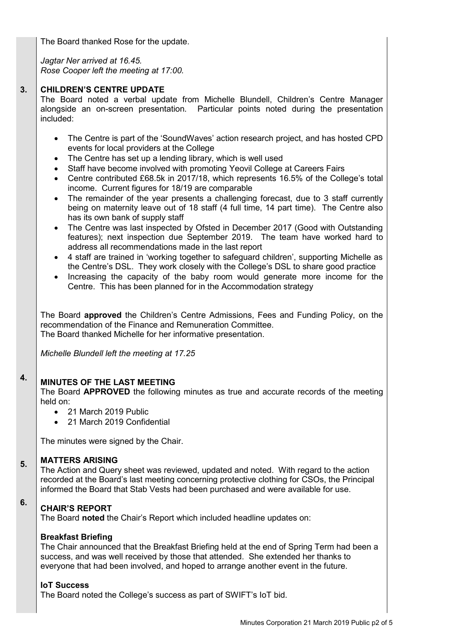The Board thanked Rose for the update.

*Jagtar Ner arrived at 16.45. Rose Cooper left the meeting at 17:00.*

#### **3. CHILDREN'S CENTRE UPDATE**

The Board noted a verbal update from Michelle Blundell, Children's Centre Manager alongside an on-screen presentation. Particular points noted during the presentation included:

- The Centre is part of the 'SoundWaves' action research project, and has hosted CPD events for local providers at the College
- The Centre has set up a lending library, which is well used
- Staff have become involved with promoting Yeovil College at Careers Fairs
- Centre contributed £68.5k in 2017/18, which represents 16.5% of the College's total income. Current figures for 18/19 are comparable
- The remainder of the year presents a challenging forecast, due to 3 staff currently being on maternity leave out of 18 staff (4 full time, 14 part time). The Centre also has its own bank of supply staff
- The Centre was last inspected by Ofsted in December 2017 (Good with Outstanding features); next inspection due September 2019. The team have worked hard to address all recommendations made in the last report
- 4 staff are trained in 'working together to safeguard children', supporting Michelle as the Centre's DSL. They work closely with the College's DSL to share good practice
- Increasing the capacity of the baby room would generate more income for the Centre. This has been planned for in the Accommodation strategy

The Board **approved** the Children's Centre Admissions, Fees and Funding Policy, on the recommendation of the Finance and Remuneration Committee. The Board thanked Michelle for her informative presentation.

*Michelle Blundell left the meeting at 17.25*

#### **4. MINUTES OF THE LAST MEETING**

The Board **APPROVED** the following minutes as true and accurate records of the meeting held on:

- 21 March 2019 Public
- 21 March 2019 Confidential

The minutes were signed by the Chair.

#### **5. MATTERS ARISING**

The Action and Query sheet was reviewed, updated and noted. With regard to the action recorded at the Board's last meeting concerning protective clothing for CSOs, the Principal informed the Board that Stab Vests had been purchased and were available for use.

### **6. CHAIR'S REPORT**

The Board **noted** the Chair's Report which included headline updates on:

# **Breakfast Briefing**

The Chair announced that the Breakfast Briefing held at the end of Spring Term had been a success, and was well received by those that attended. She extended her thanks to everyone that had been involved, and hoped to arrange another event in the future.

# **IoT Success**

The Board noted the College's success as part of SWIFT's IoT bid.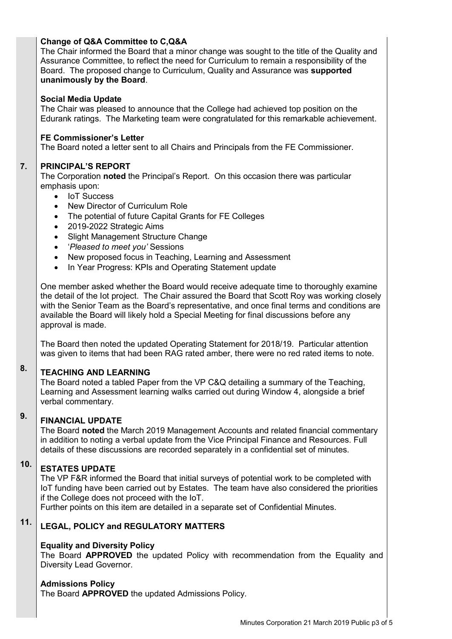# **Change of Q&A Committee to C,Q&A**

The Chair informed the Board that a minor change was sought to the title of the Quality and Assurance Committee, to reflect the need for Curriculum to remain a responsibility of the Board. The proposed change to Curriculum, Quality and Assurance was **supported unanimously by the Board**.

# **Social Media Update**

The Chair was pleased to announce that the College had achieved top position on the Edurank ratings. The Marketing team were congratulated for this remarkable achievement.

# **FE Commissioner's Letter**

The Board noted a letter sent to all Chairs and Principals from the FE Commissioner.

#### **7. PRINCIPAL'S REPORT**

The Corporation **noted** the Principal's Report. On this occasion there was particular emphasis upon:

- IoT Success
- New Director of Curriculum Role
- The potential of future Capital Grants for FE Colleges
- 2019-2022 Strategic Aims
- Slight Management Structure Change
- '*Pleased to meet you'* Sessions
- New proposed focus in Teaching, Learning and Assessment
- In Year Progress: KPIs and Operating Statement update

One member asked whether the Board would receive adequate time to thoroughly examine the detail of the Iot project. The Chair assured the Board that Scott Roy was working closely with the Senior Team as the Board's representative, and once final terms and conditions are available the Board will likely hold a Special Meeting for final discussions before any approval is made.

The Board then noted the updated Operating Statement for 2018/19. Particular attention was given to items that had been RAG rated amber, there were no red rated items to note.

#### **8. TEACHING AND LEARNING**

The Board noted a tabled Paper from the VP C&Q detailing a summary of the Teaching, Learning and Assessment learning walks carried out during Window 4, alongside a brief verbal commentary.

#### **9. FINANCIAL UPDATE**

The Board **noted** the March 2019 Management Accounts and related financial commentary in addition to noting a verbal update from the Vice Principal Finance and Resources. Full details of these discussions are recorded separately in a confidential set of minutes.

#### **10. ESTATES UPDATE**

The VP F&R informed the Board that initial surveys of potential work to be completed with IoT funding have been carried out by Estates. The team have also considered the priorities if the College does not proceed with the IoT.

Further points on this item are detailed in a separate set of Confidential Minutes.

### **11. LEGAL, POLICY and REGULATORY MATTERS**

# **Equality and Diversity Policy**

The Board **APPROVED** the updated Policy with recommendation from the Equality and Diversity Lead Governor.

# **Admissions Policy**

The Board **APPROVED** the updated Admissions Policy.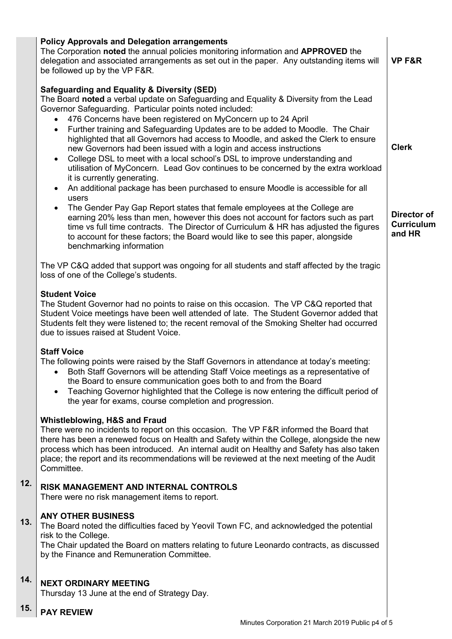|     | <b>Policy Approvals and Delegation arrangements</b><br>The Corporation noted the annual policies monitoring information and APPROVED the<br>delegation and associated arrangements as set out in the paper. Any outstanding items will<br>be followed up by the VP F&R.                                                                                                                                                                                                                                                                                                                                                                                                                                                                                                                                                                                           | <b>VP F&amp;R</b>                          |
|-----|-------------------------------------------------------------------------------------------------------------------------------------------------------------------------------------------------------------------------------------------------------------------------------------------------------------------------------------------------------------------------------------------------------------------------------------------------------------------------------------------------------------------------------------------------------------------------------------------------------------------------------------------------------------------------------------------------------------------------------------------------------------------------------------------------------------------------------------------------------------------|--------------------------------------------|
|     | <b>Safeguarding and Equality &amp; Diversity (SED)</b><br>The Board noted a verbal update on Safeguarding and Equality & Diversity from the Lead<br>Governor Safeguarding. Particular points noted included:<br>476 Concerns have been registered on MyConcern up to 24 April<br>Further training and Safeguarding Updates are to be added to Moodle. The Chair<br>$\bullet$<br>highlighted that all Governors had access to Moodle, and asked the Clerk to ensure<br>new Governors had been issued with a login and access instructions<br>College DSL to meet with a local school's DSL to improve understanding and<br>$\bullet$<br>utilisation of MyConcern. Lead Gov continues to be concerned by the extra workload<br>it is currently generating.<br>An additional package has been purchased to ensure Moodle is accessible for all<br>$\bullet$<br>users | <b>Clerk</b>                               |
|     | The Gender Pay Gap Report states that female employees at the College are<br>$\bullet$<br>earning 20% less than men, however this does not account for factors such as part<br>time vs full time contracts. The Director of Curriculum & HR has adjusted the figures<br>to account for these factors; the Board would like to see this paper, alongside<br>benchmarking information                                                                                                                                                                                                                                                                                                                                                                                                                                                                               | Director of<br><b>Curriculum</b><br>and HR |
|     | The VP C&Q added that support was ongoing for all students and staff affected by the tragic<br>loss of one of the College's students.                                                                                                                                                                                                                                                                                                                                                                                                                                                                                                                                                                                                                                                                                                                             |                                            |
|     | <b>Student Voice</b><br>The Student Governor had no points to raise on this occasion. The VP C&Q reported that<br>Student Voice meetings have been well attended of late. The Student Governor added that<br>Students felt they were listened to; the recent removal of the Smoking Shelter had occurred<br>due to issues raised at Student Voice.                                                                                                                                                                                                                                                                                                                                                                                                                                                                                                                |                                            |
|     | <b>Staff Voice</b><br>The following points were raised by the Staff Governors in attendance at today's meeting:<br>Both Staff Governors will be attending Staff Voice meetings as a representative of<br>the Board to ensure communication goes both to and from the Board<br>Teaching Governor highlighted that the College is now entering the difficult period of<br>$\bullet$<br>the year for exams, course completion and progression.                                                                                                                                                                                                                                                                                                                                                                                                                       |                                            |
|     | <b>Whistleblowing, H&amp;S and Fraud</b><br>There were no incidents to report on this occasion. The VP F&R informed the Board that<br>there has been a renewed focus on Health and Safety within the College, alongside the new<br>process which has been introduced. An internal audit on Healthy and Safety has also taken<br>place; the report and its recommendations will be reviewed at the next meeting of the Audit<br>Committee.                                                                                                                                                                                                                                                                                                                                                                                                                         |                                            |
| 12. | <b>RISK MANAGEMENT AND INTERNAL CONTROLS</b><br>There were no risk management items to report.                                                                                                                                                                                                                                                                                                                                                                                                                                                                                                                                                                                                                                                                                                                                                                    |                                            |
| 13. | <b>ANY OTHER BUSINESS</b><br>The Board noted the difficulties faced by Yeovil Town FC, and acknowledged the potential<br>risk to the College.<br>The Chair updated the Board on matters relating to future Leonardo contracts, as discussed<br>by the Finance and Remuneration Committee.                                                                                                                                                                                                                                                                                                                                                                                                                                                                                                                                                                         |                                            |
| 14. | <b>NEXT ORDINARY MEETING</b><br>Thursday 13 June at the end of Strategy Day.                                                                                                                                                                                                                                                                                                                                                                                                                                                                                                                                                                                                                                                                                                                                                                                      |                                            |
| 15. | <b>PAY REVIEW</b>                                                                                                                                                                                                                                                                                                                                                                                                                                                                                                                                                                                                                                                                                                                                                                                                                                                 |                                            |